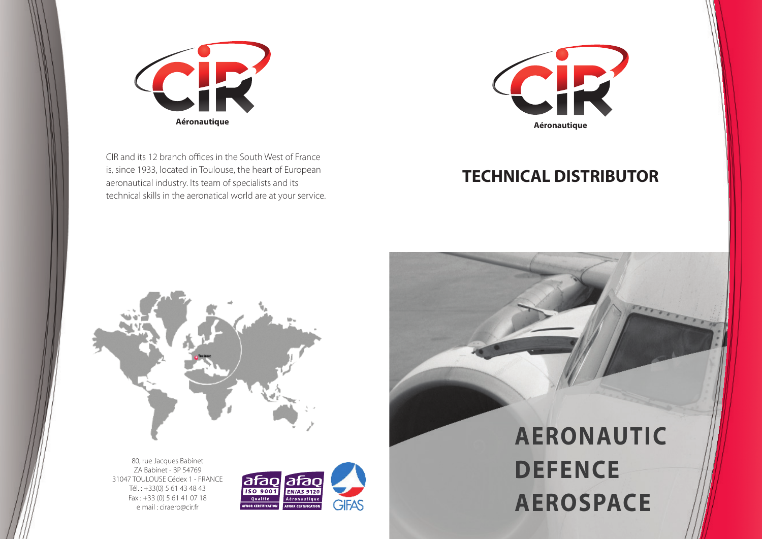## **TECHNICAL DISTRIBUTOR**



CIR and its 12 branch offices in the South West of France is, since 1933, located in Toulouse, the heart of European aeronautical industry. Its team of specialists and its technical skills in the aeronatical world are at your service.



80, rue Jacques Babinet ZA Babinet - BP 54769 31047 TOULOUSE Cédex 1 - FRANCE Tél. : +33(0) 5 61 43 48 43 Fax : +33 (0) 5 61 41 07 18 e mail : ciraero@cir.fr



## **AERONAUTIC AEROSPACE**